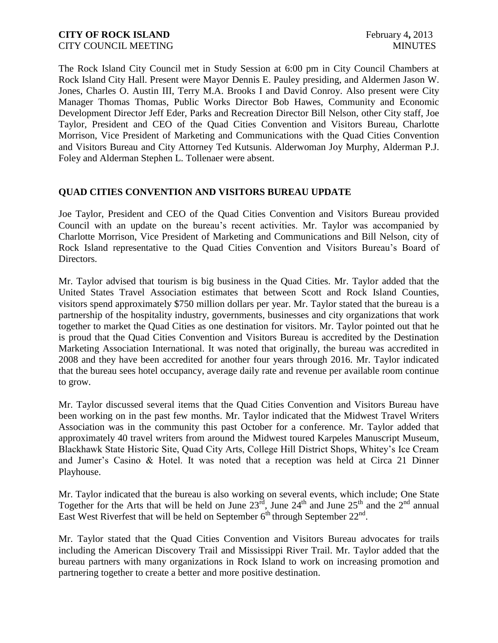The Rock Island City Council met in Study Session at 6:00 pm in City Council Chambers at Rock Island City Hall. Present were Mayor Dennis E. Pauley presiding, and Aldermen Jason W. Jones, Charles O. Austin III, Terry M.A. Brooks I and David Conroy. Also present were City Manager Thomas Thomas, Public Works Director Bob Hawes, Community and Economic Development Director Jeff Eder, Parks and Recreation Director Bill Nelson, other City staff, Joe Taylor, President and CEO of the Quad Cities Convention and Visitors Bureau, Charlotte Morrison, Vice President of Marketing and Communications with the Quad Cities Convention and Visitors Bureau and City Attorney Ted Kutsunis. Alderwoman Joy Murphy, Alderman P.J. Foley and Alderman Stephen L. Tollenaer were absent.

## **QUAD CITIES CONVENTION AND VISITORS BUREAU UPDATE**

Joe Taylor, President and CEO of the Quad Cities Convention and Visitors Bureau provided Council with an update on the bureau's recent activities. Mr. Taylor was accompanied by Charlotte Morrison, Vice President of Marketing and Communications and Bill Nelson, city of Rock Island representative to the Quad Cities Convention and Visitors Bureau's Board of Directors.

Mr. Taylor advised that tourism is big business in the Quad Cities. Mr. Taylor added that the United States Travel Association estimates that between Scott and Rock Island Counties, visitors spend approximately \$750 million dollars per year. Mr. Taylor stated that the bureau is a partnership of the hospitality industry, governments, businesses and city organizations that work together to market the Quad Cities as one destination for visitors. Mr. Taylor pointed out that he is proud that the Quad Cities Convention and Visitors Bureau is accredited by the Destination Marketing Association International. It was noted that originally, the bureau was accredited in 2008 and they have been accredited for another four years through 2016. Mr. Taylor indicated that the bureau sees hotel occupancy, average daily rate and revenue per available room continue to grow.

Mr. Taylor discussed several items that the Quad Cities Convention and Visitors Bureau have been working on in the past few months. Mr. Taylor indicated that the Midwest Travel Writers Association was in the community this past October for a conference. Mr. Taylor added that approximately 40 travel writers from around the Midwest toured Karpeles Manuscript Museum, Blackhawk State Historic Site, Quad City Arts, College Hill District Shops, Whitey's Ice Cream and Jumer's Casino & Hotel. It was noted that a reception was held at Circa 21 Dinner Playhouse.

Mr. Taylor indicated that the bureau is also working on several events, which include; One State Together for the Arts that will be held on June  $23^{\overline{rd}}$ , June  $24^{\text{th}}$  and June  $25^{\text{th}}$  and the  $2^{\text{nd}}$  annual East West Riverfest that will be held on September  $6<sup>th</sup>$  through September  $22<sup>nd</sup>$ .

Mr. Taylor stated that the Quad Cities Convention and Visitors Bureau advocates for trails including the American Discovery Trail and Mississippi River Trail. Mr. Taylor added that the bureau partners with many organizations in Rock Island to work on increasing promotion and partnering together to create a better and more positive destination.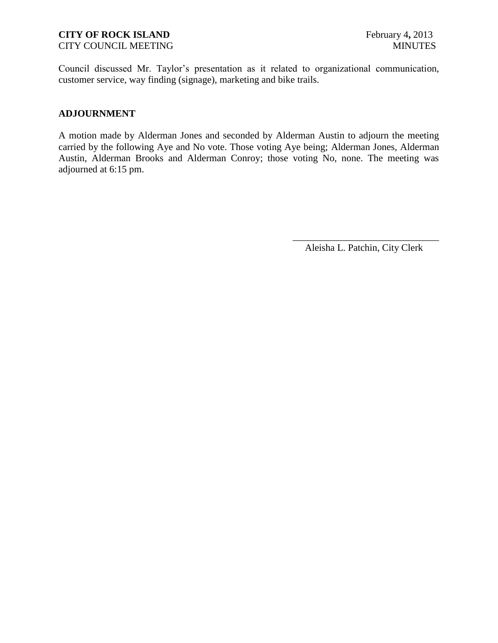## **CITY OF ROCK ISLAND** February 4, 2013

CITY COUNCIL MEETING MINUTES

Council discussed Mr. Taylor's presentation as it related to organizational communication, customer service, way finding (signage), marketing and bike trails.

### **ADJOURNMENT**

A motion made by Alderman Jones and seconded by Alderman Austin to adjourn the meeting carried by the following Aye and No vote. Those voting Aye being; Alderman Jones, Alderman Austin, Alderman Brooks and Alderman Conroy; those voting No, none. The meeting was adjourned at 6:15 pm.

> \_\_\_\_\_\_\_\_\_\_\_\_\_\_\_\_\_\_\_\_\_\_\_\_\_\_\_\_\_\_ Aleisha L. Patchin, City Clerk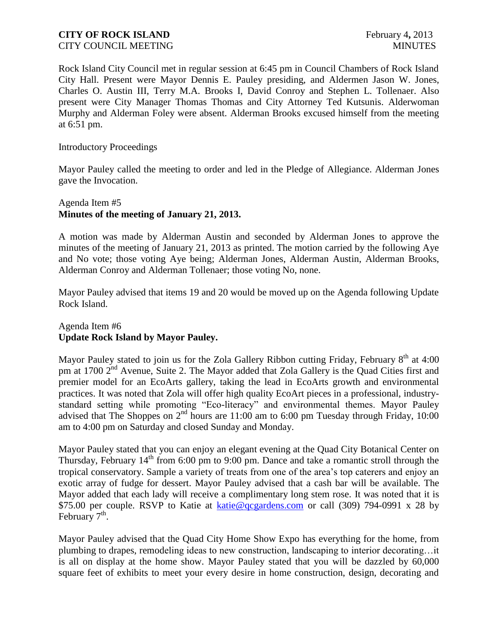#### **CITY OF ROCK ISLAND** February 4, 2013 CITY COUNCIL MEETING THE COUNCIL MEETING THE COUNCIL MINUTES

Rock Island City Council met in regular session at 6:45 pm in Council Chambers of Rock Island City Hall. Present were Mayor Dennis E. Pauley presiding, and Aldermen Jason W. Jones, Charles O. Austin III, Terry M.A. Brooks I, David Conroy and Stephen L. Tollenaer. Also present were City Manager Thomas Thomas and City Attorney Ted Kutsunis. Alderwoman Murphy and Alderman Foley were absent. Alderman Brooks excused himself from the meeting at 6:51 pm.

#### Introductory Proceedings

Mayor Pauley called the meeting to order and led in the Pledge of Allegiance. Alderman Jones gave the Invocation.

#### Agenda Item #5 **Minutes of the meeting of January 21, 2013.**

A motion was made by Alderman Austin and seconded by Alderman Jones to approve the minutes of the meeting of January 21, 2013 as printed. The motion carried by the following Aye and No vote; those voting Aye being; Alderman Jones, Alderman Austin, Alderman Brooks, Alderman Conroy and Alderman Tollenaer; those voting No, none.

Mayor Pauley advised that items 19 and 20 would be moved up on the Agenda following Update Rock Island.

#### Agenda Item #6 **Update Rock Island by Mayor Pauley.**

Mayor Pauley stated to join us for the Zola Gallery Ribbon cutting Friday, February  $8<sup>th</sup>$  at 4:00 pm at 1700 2<sup>nd</sup> Avenue, Suite 2. The Mayor added that Zola Gallery is the Quad Cities first and premier model for an EcoArts gallery, taking the lead in EcoArts growth and environmental practices. It was noted that Zola will offer high quality EcoArt pieces in a professional, industrystandard setting while promoting "Eco-literacy" and environmental themes. Mayor Pauley advised that The Shoppes on  $2<sup>nd</sup>$  hours are 11:00 am to 6:00 pm Tuesday through Friday, 10:00 am to 4:00 pm on Saturday and closed Sunday and Monday.

Mayor Pauley stated that you can enjoy an elegant evening at the Quad City Botanical Center on Thursday, February  $14<sup>th</sup>$  from 6:00 pm to 9:00 pm. Dance and take a romantic stroll through the tropical conservatory. Sample a variety of treats from one of the area's top caterers and enjoy an exotic array of fudge for dessert. Mayor Pauley advised that a cash bar will be available. The Mayor added that each lady will receive a complimentary long stem rose. It was noted that it is \$75.00 per couple. RSVP to Katie at [katie@qcgardens.com](mailto:katie@qcgardens.com) or call (309) 794-0991 x 28 by February  $7<sup>th</sup>$ .

Mayor Pauley advised that the Quad City Home Show Expo has everything for the home, from plumbing to drapes, remodeling ideas to new construction, landscaping to interior decorating…it is all on display at the home show. Mayor Pauley stated that you will be dazzled by 60,000 square feet of exhibits to meet your every desire in home construction, design, decorating and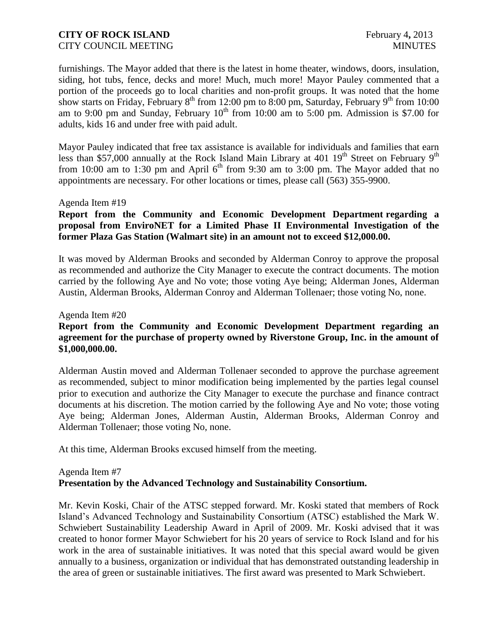furnishings. The Mayor added that there is the latest in home theater, windows, doors, insulation, siding, hot tubs, fence, decks and more! Much, much more! Mayor Pauley commented that a portion of the proceeds go to local charities and non-profit groups. It was noted that the home show starts on Friday, February  $8^{th}$  from 12:00 pm to 8:00 pm, Saturday, February  $9^{th}$  from 10:00 am to 9:00 pm and Sunday, February  $10^{th}$  from 10:00 am to 5:00 pm. Admission is \$7.00 for adults, kids 16 and under free with paid adult.

Mayor Pauley indicated that free tax assistance is available for individuals and families that earn less than \$57,000 annually at the Rock Island Main Library at 401  $19^{th}$  Street on February  $9^{th}$ from 10:00 am to 1:30 pm and April  $6<sup>th</sup>$  from 9:30 am to 3:00 pm. The Mayor added that no appointments are necessary. For other locations or times, please call (563) 355-9900.

#### Agenda Item #19

### **Report from the Community and Economic Development Department regarding a proposal from EnviroNET for a Limited Phase II Environmental Investigation of the former Plaza Gas Station (Walmart site) in an amount not to exceed \$12,000.00.**

It was moved by Alderman Brooks and seconded by Alderman Conroy to approve the proposal as recommended and authorize the City Manager to execute the contract documents. The motion carried by the following Aye and No vote; those voting Aye being; Alderman Jones, Alderman Austin, Alderman Brooks, Alderman Conroy and Alderman Tollenaer; those voting No, none.

#### Agenda Item #20

### **Report from the Community and Economic Development Department regarding an agreement for the purchase of property owned by Riverstone Group, Inc. in the amount of \$1,000,000.00.**

Alderman Austin moved and Alderman Tollenaer seconded to approve the purchase agreement as recommended, subject to minor modification being implemented by the parties legal counsel prior to execution and authorize the City Manager to execute the purchase and finance contract documents at his discretion. The motion carried by the following Aye and No vote; those voting Aye being; Alderman Jones, Alderman Austin, Alderman Brooks, Alderman Conroy and Alderman Tollenaer; those voting No, none.

At this time, Alderman Brooks excused himself from the meeting.

#### Agenda Item #7 **Presentation by the Advanced Technology and Sustainability Consortium.**

Mr. Kevin Koski, Chair of the ATSC stepped forward. Mr. Koski stated that members of Rock Island's Advanced Technology and Sustainability Consortium (ATSC) established the Mark W. Schwiebert Sustainability Leadership Award in April of 2009. Mr. Koski advised that it was created to honor former Mayor Schwiebert for his 20 years of service to Rock Island and for his work in the area of sustainable initiatives. It was noted that this special award would be given annually to a business, organization or individual that has demonstrated outstanding leadership in the area of green or sustainable initiatives. The first award was presented to Mark Schwiebert.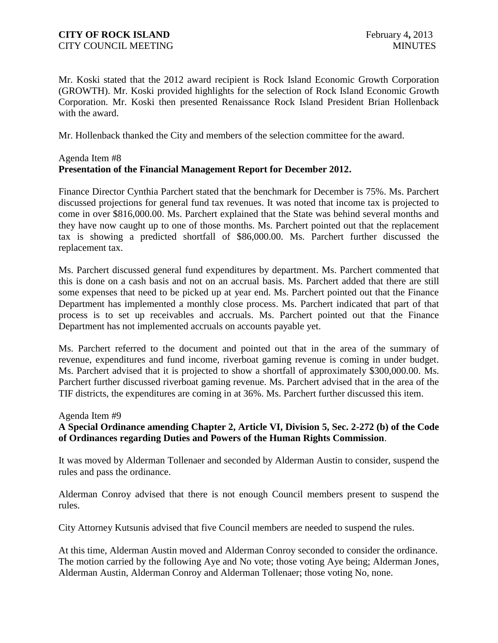Mr. Koski stated that the 2012 award recipient is Rock Island Economic Growth Corporation (GROWTH). Mr. Koski provided highlights for the selection of Rock Island Economic Growth Corporation. Mr. Koski then presented Renaissance Rock Island President Brian Hollenback with the award.

Mr. Hollenback thanked the City and members of the selection committee for the award.

## Agenda Item #8 **[Presentation of the Financial Management Report for December 2012.](http://rigov.org/DocumentCenter/View/5222)**

Finance Director Cynthia Parchert stated that the benchmark for December is 75%. Ms. Parchert discussed projections for general fund tax revenues. It was noted that income tax is projected to come in over \$816,000.00. Ms. Parchert explained that the State was behind several months and they have now caught up to one of those months. Ms. Parchert pointed out that the replacement tax is showing a predicted shortfall of \$86,000.00. Ms. Parchert further discussed the replacement tax.

Ms. Parchert discussed general fund expenditures by department. Ms. Parchert commented that this is done on a cash basis and not on an accrual basis. Ms. Parchert added that there are still some expenses that need to be picked up at year end. Ms. Parchert pointed out that the Finance Department has implemented a monthly close process. Ms. Parchert indicated that part of that process is to set up receivables and accruals. Ms. Parchert pointed out that the Finance Department has not implemented accruals on accounts payable yet.

Ms. Parchert referred to the document and pointed out that in the area of the summary of revenue, expenditures and fund income, riverboat gaming revenue is coming in under budget. Ms. Parchert advised that it is projected to show a shortfall of approximately \$300,000.00. Ms. Parchert further discussed riverboat gaming revenue. Ms. Parchert advised that in the area of the TIF districts, the expenditures are coming in at 36%. Ms. Parchert further discussed this item.

#### Agenda Item #9

## **A Special Ordinance amending Chapter 2, Article VI, Division 5, Sec. 2-272 (b) of the Code of Ordinances regarding Duties and Powers of the Human Rights Commission**.

It was moved by Alderman Tollenaer and seconded by Alderman Austin to consider, suspend the rules and pass the ordinance.

Alderman Conroy advised that there is not enough Council members present to suspend the rules.

City Attorney Kutsunis advised that five Council members are needed to suspend the rules.

At this time, Alderman Austin moved and Alderman Conroy seconded to consider the ordinance. The motion carried by the following Aye and No vote; those voting Aye being; Alderman Jones, Alderman Austin, Alderman Conroy and Alderman Tollenaer; those voting No, none.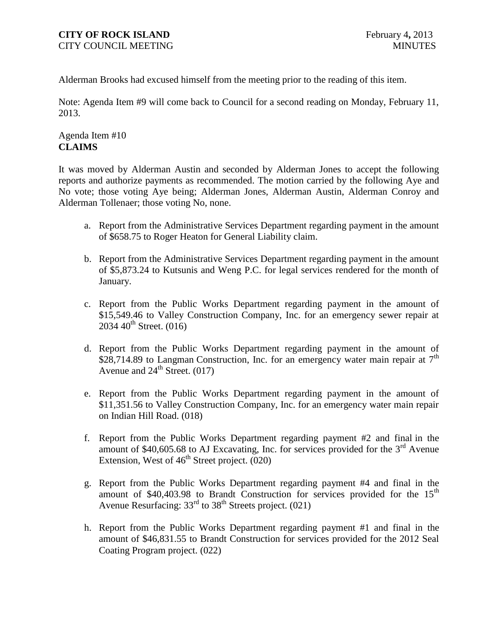Alderman Brooks had excused himself from the meeting prior to the reading of this item.

Note: Agenda Item #9 will come back to Council for a second reading on Monday, February 11, 2013.

## Agenda Item #10 **CLAIMS**

It was moved by Alderman Austin and seconded by Alderman Jones to accept the following reports and authorize payments as recommended. The motion carried by the following Aye and No vote; those voting Aye being; Alderman Jones, Alderman Austin, Alderman Conroy and Alderman Tollenaer; those voting No, none.

- a. Report from the Administrative Services Department regarding payment in the amount of \$658.75 to Roger Heaton for General Liability claim.
- b. Report from the Administrative Services Department regarding payment in the amount of \$5,873.24 to Kutsunis and Weng P.C. for legal services rendered for the month of January.
- c. Report from the Public Works Department regarding payment in the amount of \$15,549.46 to Valley Construction Company, Inc. for an emergency sewer repair at  $2034 \, 40^{th}$  Street. (016)
- d. Report from the Public Works Department regarding payment in the amount of \$28,714.89 to Langman Construction, Inc. for an emergency water main repair at  $7<sup>th</sup>$ Avenue and  $24^{\text{th}}$  Street. (017)
- e. Report from the Public Works Department regarding payment in the amount of \$11,351.56 to Valley Construction Company, Inc. for an emergency water main repair on Indian Hill Road. (018)
- f. Report from the Public Works Department regarding payment #2 and final in the amount of  $$40,605.68$  to AJ Excavating, Inc. for services provided for the 3<sup>rd</sup> Avenue Extension, West of  $46<sup>th</sup>$  Street project. (020)
- g. Report from the Public Works Department regarding payment #4 and final in the amount of  $$40,403.98$  to Brandt Construction for services provided for the 15<sup>th</sup> Avenue Resurfacing: 33<sup>rd</sup> to 38<sup>th</sup> Streets project. (021)
- h. Report from the Public Works Department regarding payment #1 and final in the amount of \$46,831.55 to Brandt Construction for services provided for the 2012 Seal Coating Program project. (022)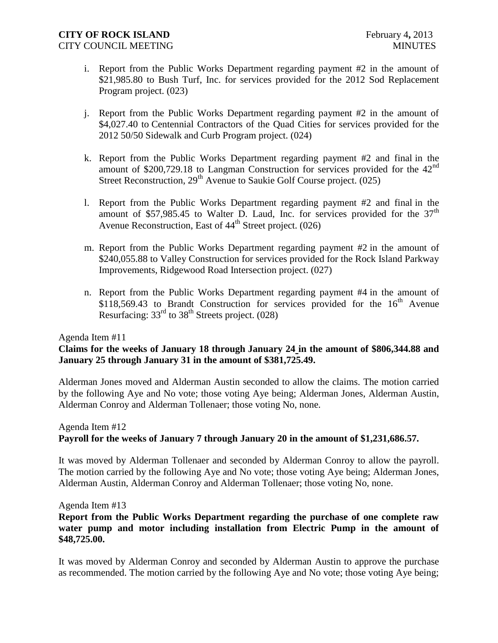- i. Report from the Public Works Department regarding payment #2 in the amount of \$21,985.80 to Bush Turf, Inc. for services provided for the 2012 Sod Replacement Program project. (023)
- j. Report from the Public Works Department regarding payment #2 in the amount of \$4,027.40 to Centennial Contractors of the Quad Cities for services provided for the 2012 50/50 Sidewalk and Curb Program project. (024)
- k. Report from the Public Works Department regarding payment #2 and final in the amount of \$200,729.18 to Langman Construction for services provided for the 42nd Street Reconstruction, 29<sup>th</sup> Avenue to Saukie Golf Course project. (025)
- l. Report from the Public Works Department regarding payment #2 and final in the amount of \$57,985.45 to Walter D. Laud, Inc. for services provided for the  $37<sup>th</sup>$ Avenue Reconstruction, East of  $44<sup>th</sup>$  Street project. (026)
- m. Report from the Public Works Department regarding payment #2 in the amount of \$240,055.88 to Valley Construction for services provided for the Rock Island Parkway Improvements, Ridgewood Road Intersection project. (027)
- n. Report from the Public Works Department regarding payment #4 in the amount of \$118,569.43 to Brandt Construction for services provided for the  $16<sup>th</sup>$  Avenue Resurfacing:  $33<sup>rd</sup>$  to  $38<sup>th</sup>$  Streets project. (028)

#### Agenda Item #11

#### **Claims for the weeks of January 18 through January 24 in the amount of \$806,344.88 and January 25 through January 31 in the amount of \$381,725.49.**

Alderman Jones moved and Alderman Austin seconded to allow the claims. The motion carried by the following Aye and No vote; those voting Aye being; Alderman Jones, Alderman Austin, Alderman Conroy and Alderman Tollenaer; those voting No, none.

#### Agenda Item #12 **Payroll for the weeks of January 7 through January 20 in the amount of \$1,231,686.57.**

It was moved by Alderman Tollenaer and seconded by Alderman Conroy to allow the payroll. The motion carried by the following Aye and No vote; those voting Aye being; Alderman Jones, Alderman Austin, Alderman Conroy and Alderman Tollenaer; those voting No, none.

#### Agenda Item #13

#### **Report from the Public Works Department regarding the purchase of one complete raw water pump and motor including installation from Electric Pump in the amount of \$48,725.00.**

It was moved by Alderman Conroy and seconded by Alderman Austin to approve the purchase as recommended. The motion carried by the following Aye and No vote; those voting Aye being;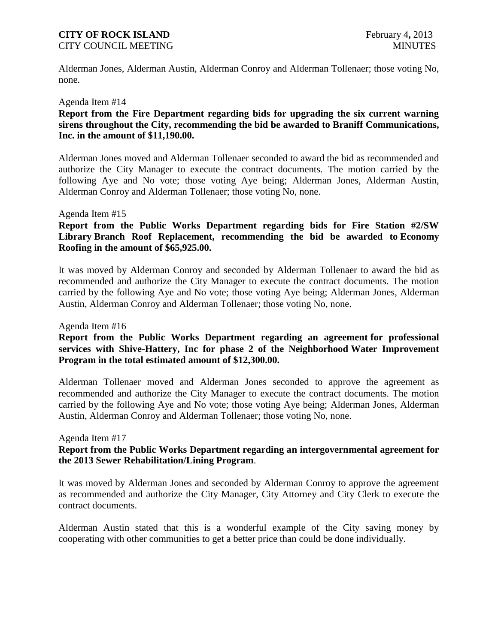## **CITY OF ROCK ISLAND** February 4, 2013

CITY COUNCIL MEETING MINUTES

Alderman Jones, Alderman Austin, Alderman Conroy and Alderman Tollenaer; those voting No, none.

#### Agenda Item #14

#### **Report from the Fire Department regarding bids for upgrading the six current warning sirens throughout the City, recommending the bid be awarded to Braniff Communications, Inc. in the amount of \$11,190.00.**

Alderman Jones moved and Alderman Tollenaer seconded to award the bid as recommended and authorize the City Manager to execute the contract documents. The motion carried by the following Aye and No vote; those voting Aye being; Alderman Jones, Alderman Austin, Alderman Conroy and Alderman Tollenaer; those voting No, none.

#### Agenda Item #15

#### **Report from the Public Works Department regarding bids for Fire Station #2/SW Library Branch Roof Replacement, recommending the bid be awarded to Economy Roofing in the amount of \$65,925.00.**

It was moved by Alderman Conroy and seconded by Alderman Tollenaer to award the bid as recommended and authorize the City Manager to execute the contract documents. The motion carried by the following Aye and No vote; those voting Aye being; Alderman Jones, Alderman Austin, Alderman Conroy and Alderman Tollenaer; those voting No, none.

#### Agenda Item #16

#### **Report from the Public Works Department regarding an agreement for professional services with Shive-Hattery, Inc for phase 2 of the Neighborhood Water Improvement Program in the total estimated amount of \$12,300.00.**

Alderman Tollenaer moved and Alderman Jones seconded to approve the agreement as recommended and authorize the City Manager to execute the contract documents. The motion carried by the following Aye and No vote; those voting Aye being; Alderman Jones, Alderman Austin, Alderman Conroy and Alderman Tollenaer; those voting No, none.

#### Agenda Item #17

#### **Report from the Public Works Department regarding an intergovernmental agreement for the 2013 Sewer Rehabilitation/Lining Program**.

It was moved by Alderman Jones and seconded by Alderman Conroy to approve the agreement as recommended and authorize the City Manager, City Attorney and City Clerk to execute the contract documents.

Alderman Austin stated that this is a wonderful example of the City saving money by cooperating with other communities to get a better price than could be done individually.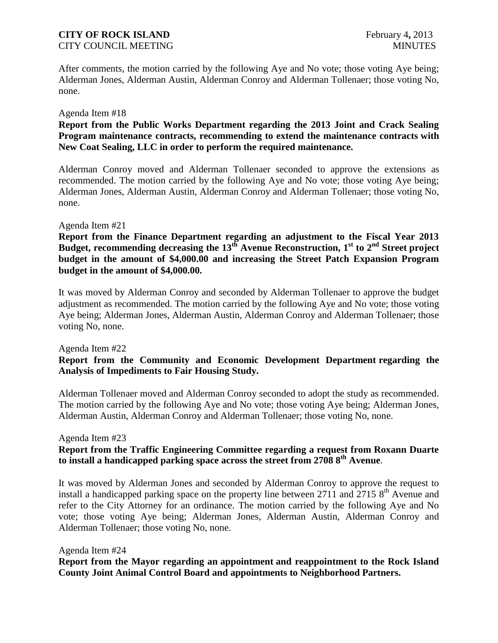# **CITY OF ROCK ISLAND** February 4, 2013

CITY COUNCIL MEETING MINUTES

After comments, the motion carried by the following Aye and No vote; those voting Aye being; Alderman Jones, Alderman Austin, Alderman Conroy and Alderman Tollenaer; those voting No, none.

#### Agenda Item #18

## **Report from the Public Works Department regarding the 2013 Joint and Crack Sealing Program maintenance contracts, recommending to extend the maintenance contracts with New Coat Sealing, LLC in order to perform the required maintenance.**

Alderman Conroy moved and Alderman Tollenaer seconded to approve the extensions as recommended. The motion carried by the following Aye and No vote; those voting Aye being; Alderman Jones, Alderman Austin, Alderman Conroy and Alderman Tollenaer; those voting No, none.

#### Agenda Item #21

**Report from the Finance Department regarding an adjustment to the Fiscal Year 2013 Budget, recommending decreasing the 13th Avenue Reconstruction, 1st to 2nd Street project budget in the amount of \$4,000.00 and increasing the Street Patch Expansion Program budget in the amount of \$4,000.00.**

It was moved by Alderman Conroy and seconded by Alderman Tollenaer to approve the budget adjustment as recommended. The motion carried by the following Aye and No vote; those voting Aye being; Alderman Jones, Alderman Austin, Alderman Conroy and Alderman Tollenaer; those voting No, none.

#### Agenda Item #22

## **Report from the Community and Economic Development Department regarding the Analysis of Impediments to Fair Housing Study.**

Alderman Tollenaer moved and Alderman Conroy seconded to adopt the study as recommended. The motion carried by the following Aye and No vote; those voting Aye being; Alderman Jones, Alderman Austin, Alderman Conroy and Alderman Tollenaer; those voting No, none.

#### Agenda Item #23

## **Report from the Traffic Engineering Committee regarding a request from Roxann Duarte to install a handicapped parking space across the street from 2708 8th Avenue**.

It was moved by Alderman Jones and seconded by Alderman Conroy to approve the request to install a handicapped parking space on the property line between  $2711$  and  $27158<sup>th</sup>$  Avenue and refer to the City Attorney for an ordinance. The motion carried by the following Aye and No vote; those voting Aye being; Alderman Jones, Alderman Austin, Alderman Conroy and Alderman Tollenaer; those voting No, none.

#### Agenda Item #24

**Report from the Mayor regarding an appointment and reappointment to the Rock Island County Joint Animal Control Board and appointments to Neighborhood Partners.**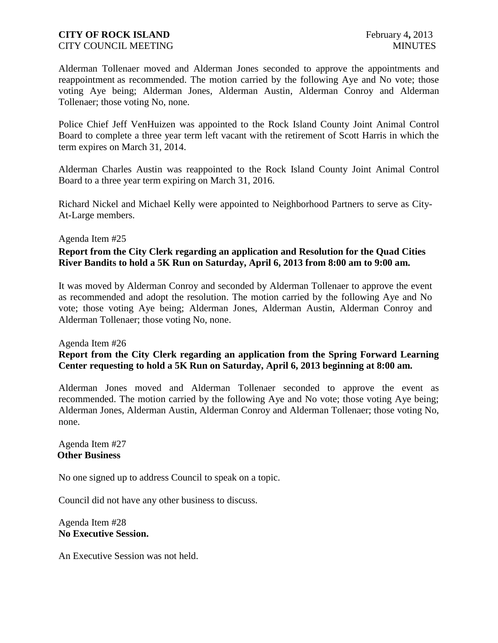Alderman Tollenaer moved and Alderman Jones seconded to approve the appointments and reappointment as recommended. The motion carried by the following Aye and No vote; those voting Aye being; Alderman Jones, Alderman Austin, Alderman Conroy and Alderman Tollenaer; those voting No, none.

Police Chief Jeff VenHuizen was appointed to the Rock Island County Joint Animal Control Board to complete a three year term left vacant with the retirement of Scott Harris in which the term expires on March 31, 2014.

Alderman Charles Austin was reappointed to the Rock Island County Joint Animal Control Board to a three year term expiring on March 31, 2016.

Richard Nickel and Michael Kelly were appointed to Neighborhood Partners to serve as City-At-Large members.

#### Agenda Item #25

### **Report from the City Clerk regarding an application and Resolution for the Quad Cities River Bandits to hold a 5K Run on Saturday, April 6, 2013 from 8:00 am to 9:00 am.**

It was moved by Alderman Conroy and seconded by Alderman Tollenaer to approve the event as recommended and adopt the resolution. The motion carried by the following Aye and No vote; those voting Aye being; Alderman Jones, Alderman Austin, Alderman Conroy and Alderman Tollenaer; those voting No, none.

### Agenda Item #26 **Report from the City Clerk regarding an application from the Spring Forward Learning Center requesting to hold a 5K Run on Saturday, April 6, 2013 beginning at 8:00 am.**

Alderman Jones moved and Alderman Tollenaer seconded to approve the event as recommended. The motion carried by the following Aye and No vote; those voting Aye being; Alderman Jones, Alderman Austin, Alderman Conroy and Alderman Tollenaer; those voting No, none.

Agenda Item #27 **Other Business**

No one signed up to address Council to speak on a topic.

Council did not have any other business to discuss.

Agenda Item #28 **No Executive Session.**

An Executive Session was not held.